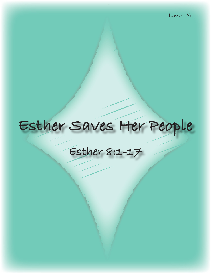# **Esther Saves Her People**

## **Esther 8:1-17**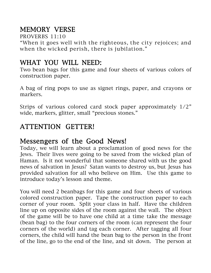## MEMORY VERSE

PROVERBS 11:10

"When it goes well with the righteous, the city rejoices; and when the wicked perish, there is jubilation."

## WHAT YOU WILL NEED:

Two bean bags for this game and four sheets of various colors of construction paper.

A bag of ring pops to use as signet rings, paper, and crayons or markers.

Strips of various colored card stock paper approximately 1/2" wide, markers, glitter, small "precious stones."

## ATTENTION GETTER!

## Messengers of the Good News!

Today, we will learn about a proclamation of good news for the Jews. Their lives were going to be saved from the wicked plan of Haman. Is it not wonderful that someone shared with us the good news of salvation in Jesus? Satan wants to destroy us, but Jesus has provided salvation for all who believe on Him. Use this game to introduce today's lesson and theme.

You will need 2 beanbags for this game and four sheets of various colored construction paper. Tape the construction paper to each corner of your room. Split your class in half. Have the children line up on opposite sides of the room against the wall. The object of the game will be to have one child at a time take the message (bean bag) to the four corners of the room (can represent the four corners of the world) and tag each corner. After tagging all four corners, the child will hand the bean bag to the person in the front of the line, go to the end of the line, and sit down. The person at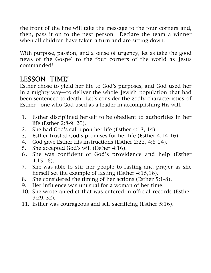the front of the line will take the message to the four corners and, then, pass it on to the next person. Declare the team a winner when all children have taken a turn and are sitting down.

With purpose, passion, and a sense of urgency, let as take the good news of the Gospel to the four corners of the world as Jesus commanded!

## LESSON TIME!

Esther chose to yield her life to God's purposes, and God used her in a mighty way—to deliver the whole Jewish population that had been sentenced to death. Let's consider the godly characteristics of Esther—one who God used as a leader in accomplishing His will.

- 1. Esther disciplined herself to be obedient to authorities in her life (Esther 2:8-9, 20).
- 2. She had God's call upon her life (Esther 4:13, 14).
- 3. Esther trusted God's promises for her life (Esther 4:14-16).
- 4. God gave Esther His instructions (Esther 2:22, 4:8-14).
- 5. She accepted God's will (Esther 4:16).
- 6. She was confident of God's providence and help (Esther 4:15,16).
- 7. She was able to stir her people to fasting and prayer as she herself set the example of fasting (Esther 4:15,16).
- 8. She considered the timing of her actions (Esther 5:1-8).
- 9. Her influence was unusual for a woman of her time.
- 10. She wrote an edict that was entered in official records (Esther 9:29, 32).
- 11. Esther was courageous and self-sacrificing (Esther 5:16).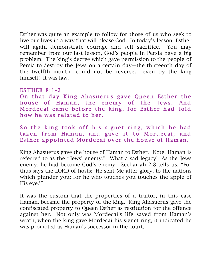Esther was quite an example to follow for those of us who seek to live our lives in a way that will please God. In today's lesson, Esther will again demonstrate courage and self sacrifice. You may remember from our last lesson, God's people in Persia have a big problem. The king's decree which gave permission to the people of Persia to destroy the Jews on a certain day—the thirteenth day of the twelfth month—could not be reversed, even by the king himself! It was law.

#### ES THER 8:1-2

On that day King Ahasuerus gave Queen Esther the house of Haman, the enemy of the Jews. And Mordecai came before the king, for Esther had told how he was related to her.

So the king took off his signet ring, which he had taken from Haman, and gave it to Mordecai; and Esther appointed Mordecai over the house of Haman.

King Ahasuerus gave the house of Haman to Esther. Note, Haman is referred to as the "Jews' enemy." What a sad legacy! As the Jews enemy, he had become God's enemy. Zechariah 2:8 tells us, "For thus says the LORD of hosts: 'He sent Me after glory, to the nations which plunder you; for he who touches you touches the apple of His eye.'"

It was the custom that the properties of a traitor, in this case Haman, became the property of the king. King Ahasuerus gave the confiscated property to Queen Esther as restitution for the offence against her. Not only was Mordecai's life saved from Haman's wrath, when the king gave Mordecai his signet ring, it indicated he was promoted as Haman's successor in the court.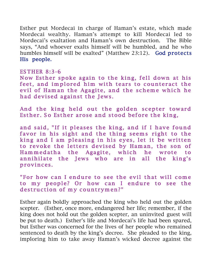Esther put Mordecai in charge of Haman's estate, which made Mordecai wealthy. Haman's attempt to kill Mordecai led to Mordecai's exaltation and Haman's own destruction. The Bible says, "And whoever exalts himself will be humbled, and he who humbles himself will be exalted" (Matthew 23:12). God protects His people.

#### ES THER 8:3-6

Now Esther spoke again to the king, fell down at his feet, and implored him with tears to counteract the evil of Ham an the Agagite, and the scheme which he had devised against the Jews.

And the king held out the golden scepter toward Esther. So Esther arose and stood before the king,

and said, "If it pleases the king, and if I have found favor in his sight and the thing seems right to the king and I am pleasing in his eyes, let it be written to revoke the letters devised by Haman, the son of Ham m edatha the Agagite, which he wrote to annihilate the Jews who are in all the king's provinces.

"For how can I endure to see the evil that will come to my people? Or how can I endure to see the destruction of my countrymen?"

Esther again boldly approached the king who held out the golden scepter. (Esther, once more, endangered her life; remember, if the king does not hold out the golden scepter, an uninvited guest will be put to death.) Esther's life and Mordecai's life had been spared, but Esther was concerned for the lives of her people who remained sentenced to death by the king's decree. She pleaded to the king, imploring him to take away Haman's wicked decree against the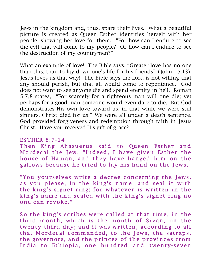Jews in the kingdom and, thus, spare their lives. What a beautiful picture is created as Queen Esther identifies herself with her people, showing her love for them. "For how can I endure to see the evil that will come to my people? Or how can I endure to see the destruction of my countrymen?"

What an example of love! The Bible says, "Greater love has no one than this, than to lay down one's life for his friends" (John 15:13). Jesus loves us that way! The Bible says the Lord is not willing that any should perish, but that all would come to repentance. God does not want to see anyone die and spend eternity in hell. Roman 5:7,8 states, "For scarcely for a righteous man will one die; yet perhaps for a good man someone would even dare to die. But God demonstrates His own love toward us, in that while we were still sinners, Christ died for us." We were all under a death sentence. God provided forgiveness and redemption through faith in Jesus Christ. Have you received His gift of grace?

#### ES THER 8:7-14

Then King Ahasuerus said to Queen Esther and Mordecai the Jew, "Indeed, I have given Esther the house of Haman, and they have hanged him on the gallows because he tried to lay his hand on the Jews.

"You yourselves write a decree concerning the Jews, as you please, in the king's name, and seal it with the king's signet ring; for whatever is written in the king's name and sealed with the king's signet ring no one can revoke."

So the king's scribes were called at that time, in the third month, which is the month of Sivan, on the twenty-third day; and it was written, according to all that Mordecai commanded, to the Jews, the satraps, the governors, and the princes of the provinces from India to Ethiopia, one hundred and twenty-seven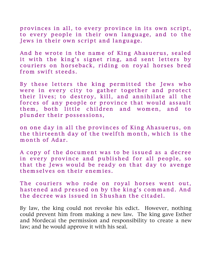provinces in all, to every province in its own script, to every people in their own language, and to the Jews in their own script and language.

And he wrote in the name of King Ahasuerus, sealed it with the king's signet ring, and sent letters by couriers on horseback, riding on royal horses bred from swift steeds.

By these letters the king permitted the Jews who were in every city to gather together and protect their lives; to destroy, kill, and annihilate all the forces of any people or province that would assault them, both little children and women, and to plunder their possessions,

on one day in all the provinces of King Ahasuerus, on the thirteenth day of the twelfth month, which is the month of Adar.

A copy of the document was to be issued as a decree in every province and published for all people, so that the Jews would be ready on that day to avenge themselves on their enemies.

The couriers who rode on royal horses went out, hastened and pressed on by the king's command. And the decree was issued in Shushan the citadel.

By law, the king could not revoke his edict. However, nothing could prevent him from making a new law. The king gave Esther and Mordecai the permission and responsibility to create a new law; and he would approve it with his seal.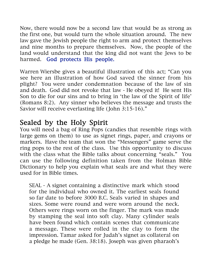Now, there would now be a second law that would be as strong as the first one, but would turn the whole situation around. The new law gave the Jewish people the right to arm and protect themselves and nine months to prepare themselves. Now, the people of the land would understand that the king did not want the Jews to be harmed. God protects His people.

Warren Wiersbe gives a beautiful illustration of this act; "Can you see here an illustration of how God saved the sinner from his plight? You were under condemnation because of the law of sin and death. God did not revoke that law - He obeyed it! He sent His Son to die for our sins and to bring in 'the law of the Spirit of life' (Romans 8:2). Any sinner who believes the message and trusts the Savior will receive everlasting life (John 3:15-16)."

### Sealed by the Holy Spirit

You will need a bag of Ring Pops (candies that resemble rings with large gems on them) to use as signet rings, paper, and crayons or markers. Have the team that won the "Messengers" game serve the ring pops to the rest of the class. Use this opportunity to discuss with the class what the Bible talks about concerning "seals." You can use the following definition taken from the Holman Bible Dictionary to help you explain what seals are and what they were used for in Bible times.

SEAL - A signet containing a distinctive mark which stood for the individual who owned it. The earliest seals found so far date to before 3000 B.C. Seals varied in shapes and sizes. Some were round and were worn around the neck. Others were rings worn on the finger. The mark was made by stamping the seal into soft clay. Many cylinder seals have been found which contain scenes that communicate a message. These were rolled in the clay to form the impression. Tamar asked for Judah's signet as collateral on a pledge he made (Gen. 38:18). Joseph was given pharaoh's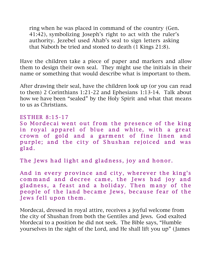ring when he was placed in command of the country (Gen. 41:42), symbolizing Joseph's right to act with the ruler's authority. Jezebel used Ahab's seal to sign letters asking that Naboth be tried and stoned to death (1 Kings 21:8).

Have the children take a piece of paper and markers and allow them to design their own seal. They might use the initials in their name or something that would describe what is important to them.

After drawing their seal, have the children look up (or you can read to them) 2 Corinthians 1:21-22 and Ephesians 1:13-14. Talk about how we have been "sealed" by the Holy Spirit and what that means to us as Christians.

#### ES THER 8:15-17

So Mordecai went out from the presence of the king in royal apparel of blue and white, with a great crown of gold and a garment of fine linen and purple; and the city of Shushan rejoiced and was gl ad.

The Jews had light and gladness, joy and honor.

And in every province and city, wherever the king's command and decree came, the Jews had joy and gladness, a feast and a holiday. Then many of the people of the land became Jews, because fear of the Jews fell upon them.

Mordecai, dressed in royal attire, receives a joyful welcome from the city of Shushan from both the Gentiles and Jews. God exalted Mordecai to a position he did not seek. The Bible says, "Humble yourselves in the sight of the Lord, and He shall lift you up" (James